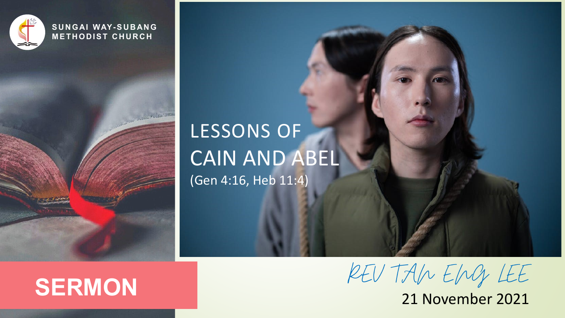

**S U N G AI WAY-S U B AN G METHODIST CHURCH** 

**WARD OF** 

#### LESSONS OF CAIN AND ABEL (Gen 4:16, Heb 11:4)

# SERMON REV TAN ENGLEE

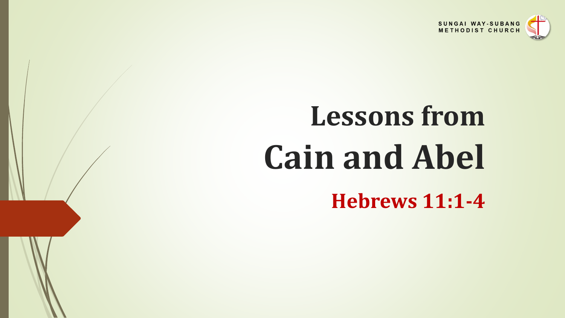

## **Lessons from Cain and Abel**

**Hebrews 11:1-4**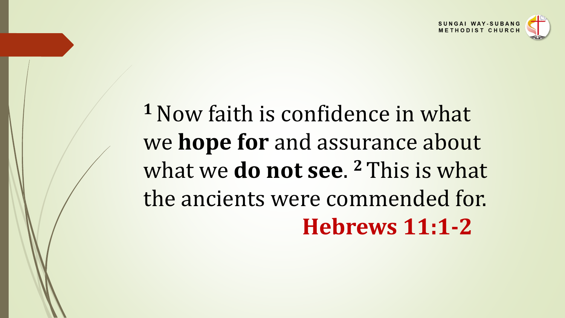

## **<sup>1</sup>**Now faith is confidence in what we **hope for** and assurance about what we **do not see**. **<sup>2</sup>**This is what the ancients were commended for. **Hebrews 11:1-2**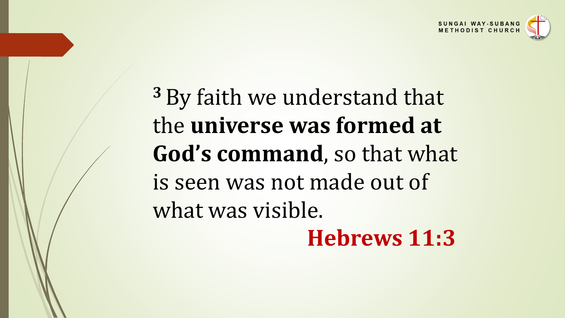

**<sup>3</sup>**By faith we understand that the **universe was formed at God's command**, so that what is seen was not made out of what was visible. **Hebrews 11:3**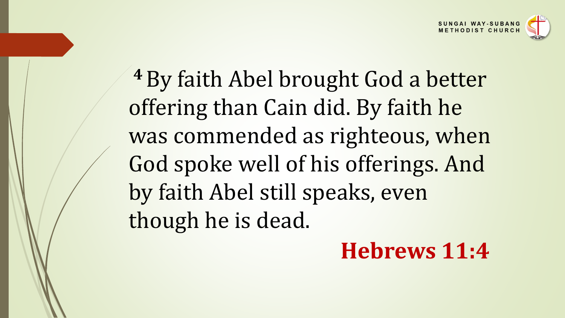

**<sup>4</sup>**By faith Abel brought God a better offering than Cain did. By faith he was commended as righteous, when God spoke well of his offerings. And by faith Abel still speaks, even though he is dead.

#### **Hebrews 11:4**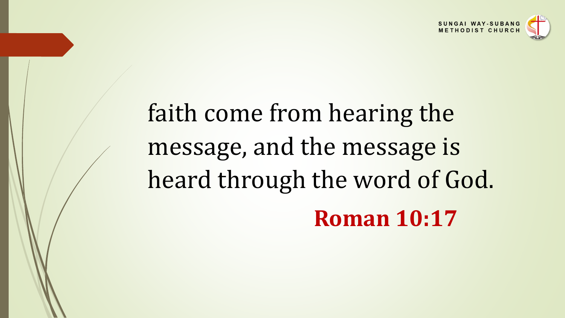

## faith come from hearing the message, and the message is heard through the word of God. **Roman 10:17**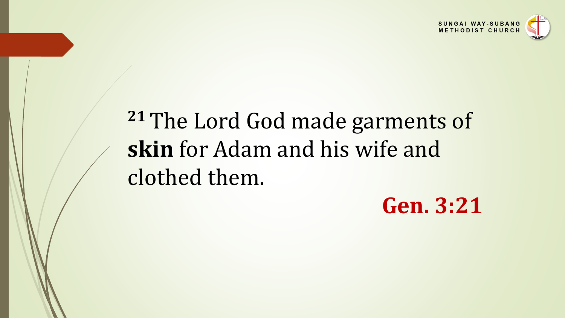

## **<sup>21</sup>**The Lord God made garments of **skin** for Adam and his wife and clothed them.

#### **Gen. 3:21**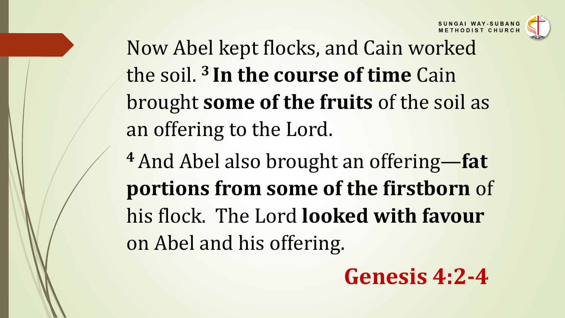

Now Abel kept flocks, and Cain worked the soil. **<sup>3</sup> In the course of time** Cain brought **some of the fruits** of the soil as an offering to the Lord.

**<sup>4</sup>**And Abel also brought an offering—**fat portions from some of the firstborn** of his flock. The Lord **looked with favour** on Abel and his offering.

**Genesis 4:2-4**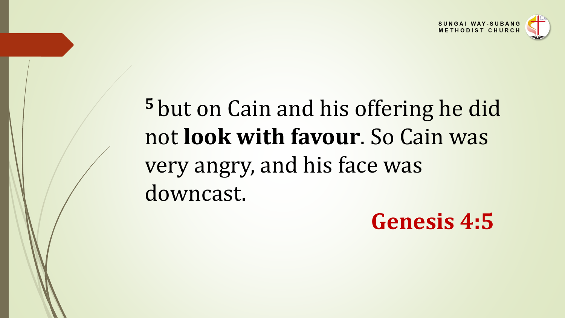

## **<sup>5</sup>** but on Cain and his offering he did not **look with favour**. So Cain was very angry, and his face was downcast.

#### **Genesis 4:5**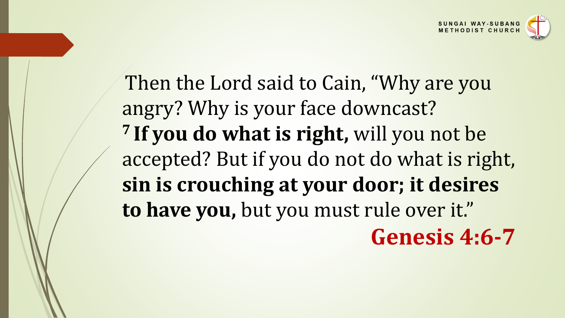

Then the Lord said to Cain, "Why are you angry? Why is your face downcast? **7 If you do what is right,** will you not be accepted? But if you do not do what is right, **sin is crouching at your door; it desires to have you,** but you must rule over it." **Genesis 4:6-7**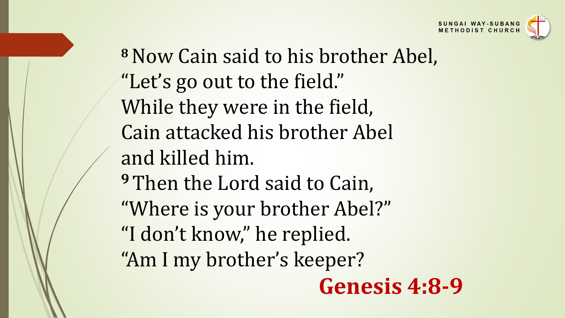

**<sup>8</sup>**Now Cain said to his brother Abel, "Let's go out to the field." While they were in the field, Cain attacked his brother Abel and killed him. **<sup>9</sup>**Then the Lord said to Cain, "Where is your brother Abel?" "I don't know," he replied. "Am I my brother's keeper? **Genesis 4:8-9**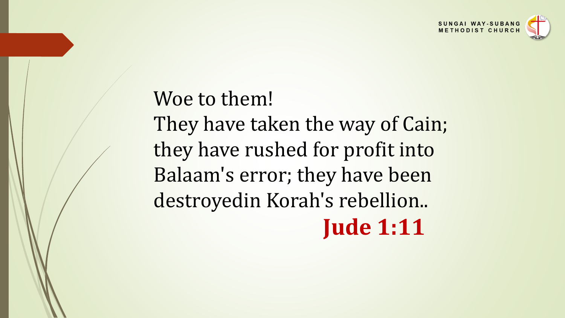

#### Woe to them!

They have taken the way of Cain; they have rushed for profit into Balaam's error; they have been destroyedin Korah's rebellion.. **Jude 1:11**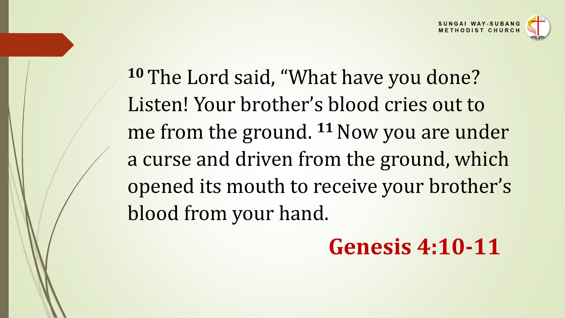

**<sup>10</sup>** The Lord said, "What have you done? Listen! Your brother's blood cries out to me from the ground. **<sup>11</sup>**Now you are under a curse and driven from the ground, which opened its mouth to receive your brother's blood from your hand.

#### **Genesis 4:10-11**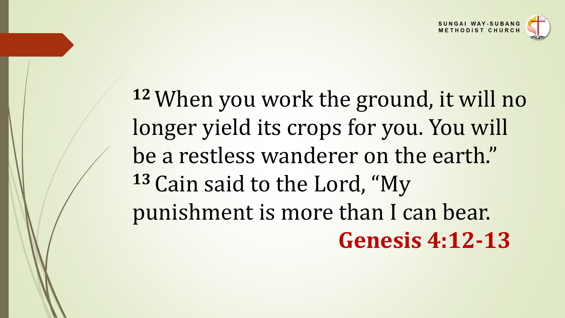

**<sup>12</sup>**When you work the ground, it will no longer yield its crops for you. You will be a restless wanderer on the earth." **<sup>13</sup>** Cain said to the Lord, "My punishment is more than I can bear. **Genesis 4:12-13**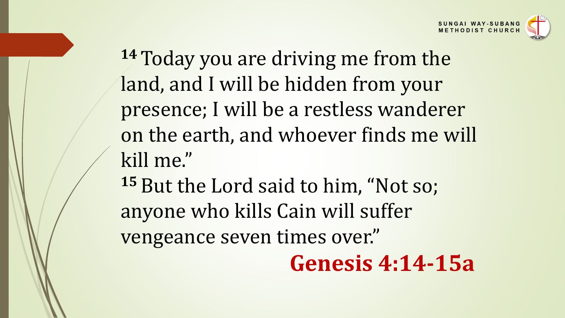

**<sup>14</sup>** Today you are driving me from the land, and I will be hidden from your presence; I will be a restless wanderer on the earth, and whoever finds me will kill me." <sup>15</sup> But the Lord said to him, "Not so; anyone who kills Cain will suffer vengeance seven times over." **Genesis 4:14-15a**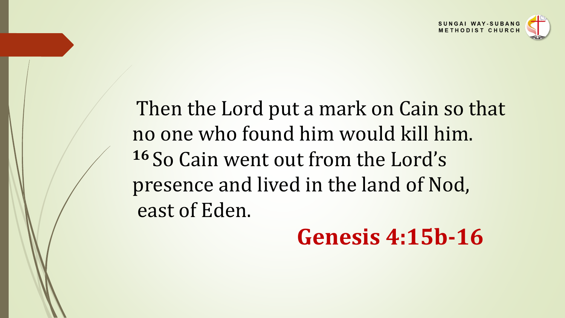

Then the Lord put a mark on Cain so that no one who found him would kill him. 16 So Cain went out from the Lord's presence and lived in the land of Nod, east of Eden.

#### **Genesis 4:15b-16**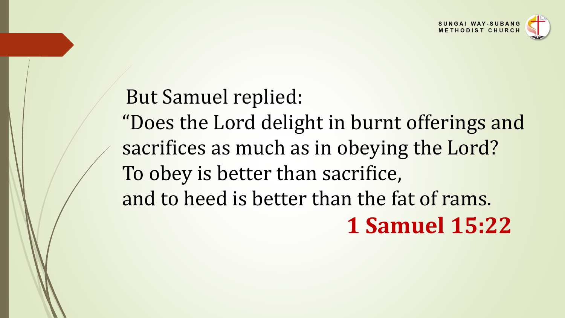

### But Samuel replied: "Does the Lord delight in burnt offerings and sacrifices as much as in obeying the Lord? To obey is better than sacrifice, and to heed is better than the fat of rams. **1 Samuel 15:22**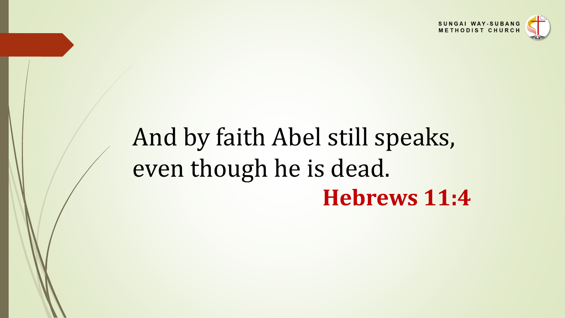

## And by faith Abel still speaks, even though he is dead. **Hebrews 11:4**